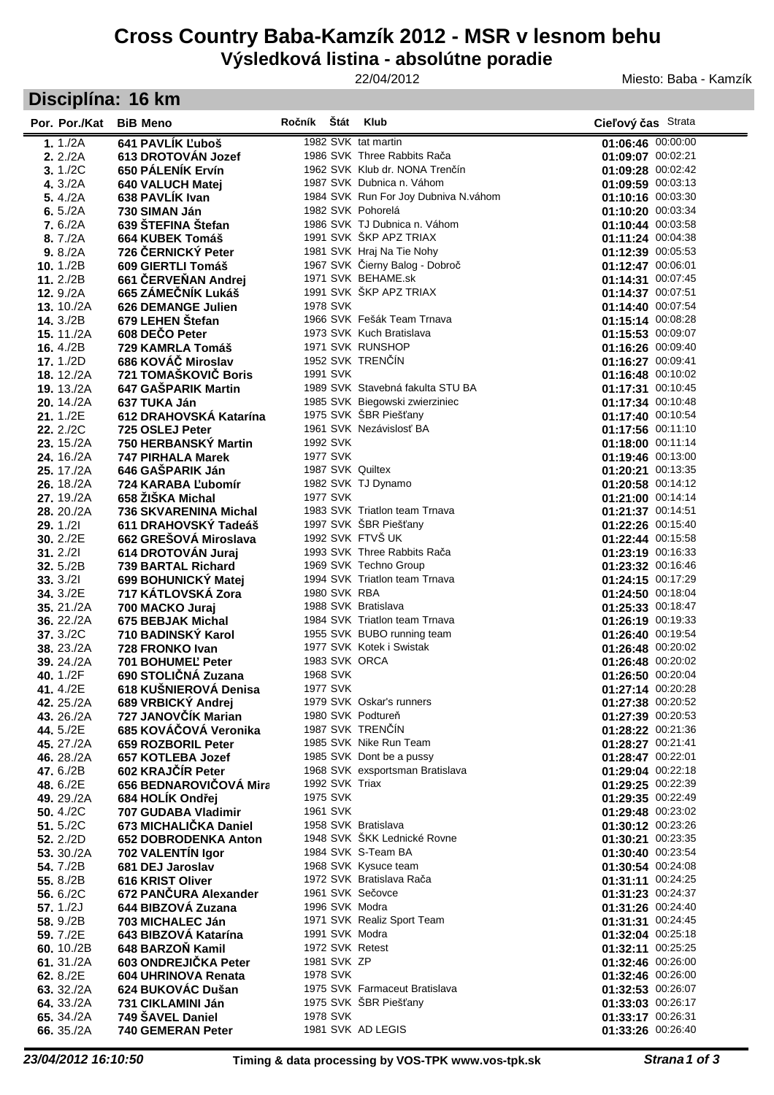## **Cross Country Baba-Kamzík 2012 - MSR v lesnom behu**

# **Výsledková listina - absolútne poradie**

#### 22/04/2012

Miesto: Baba - Kamzík

# **Disciplína: 16 km**

| Por. Por./Kat                  | <b>BiB Meno</b>                          | Ročník Štát    | <b>Klub</b>                                                 | Cieľový čas Strata                     |
|--------------------------------|------------------------------------------|----------------|-------------------------------------------------------------|----------------------------------------|
| 1. $1./2A$                     | 641 PAVLÍK Ľuboš                         |                | 1982 SVK tat martin                                         | 01:06:46 00:00:00                      |
| 2.2/2A                         | 613 DROTOVÁN Jozef                       |                | 1986 SVK Three Rabbits Rača                                 | 01:09:07 00:02:21                      |
| 3.1/2C                         | 650 PÁLENÍK Ervín                        |                | 1962 SVK Klub dr. NONA Trenčín                              | 01:09:28 00:02:42                      |
| 4. $3./2A$                     | 640 VALUCH Matej                         |                | 1987 SVK Dubnica n. Váhom                                   | 01:09:59 00:03:13                      |
| 5.4/2A                         | 638 PAVLIK Ivan                          |                | 1984 SVK Run For Joy Dubniva N.váhom                        | 01:10:16 00:03:30                      |
| 6. $5./2A$                     | 730 SIMAN Ján                            |                | 1982 SVK Pohorelá                                           | 01:10:20 00:03:34                      |
| 7.6./2A                        | 639 ŠTEFINA Štefan                       |                | 1986 SVK TJ Dubnica n. Váhom<br>1991 SVK ŠKP APZ TRIAX      | 01:10:44 00:03:58                      |
| 8.7/2A                         | 664 KUBEK Tomáš<br>726 ČERNICKÝ Peter    |                | 1981 SVK Hraj Na Tie Nohy                                   | 01:11:24 00:04:38<br>01:12:39 00:05:53 |
| 9.8/2A<br>10. $1./2B$          | 609 GIERTLI Tomáš                        |                | 1967 SVK Čierny Balog - Dobroč                              | 01:12:47 00:06:01                      |
| 11.2./2B                       | 661 ČERVEŇAN Andrej                      |                | 1971 SVK BEHAME.sk                                          | 01:14:31 00:07:45                      |
| 12. $9./2A$                    | 665 ZÁMEČNÍK Lukáš                       |                | 1991 SVK ŠKP APZ TRIAX                                      | 01:14:37 00:07:51                      |
| 13. $10./2A$                   | <b>626 DEMANGE Julien</b>                | 1978 SVK       |                                                             | 01:14:40 00:07:54                      |
| <b>14.</b> 3./2B               | 679 LEHEN Stefan                         |                | 1966 SVK Fešák Team Trnava                                  | 01:15:14 00:08:28                      |
| <b>15.</b> 11./2A              | 608 DEČO Peter                           |                | 1973 SVK Kuch Bratislava                                    | 01:15:53 00:09:07                      |
| <b>16.</b> 4./2B               | 729 KAMRLA Tomáš                         |                | 1971 SVK RUNSHOP                                            | 01:16:26 00:09:40                      |
| <b>17.</b> 1./2D               | 686 KOVÁČ Miroslav                       |                | 1952 SVK TRENČÍN                                            | 01:16:27 00:09:41                      |
| <b>18.</b> 12./2A              | 721 TOMAŠKOVIČ Boris                     | 1991 SVK       |                                                             | 01:16:48 00:10:02                      |
| 19.13./2A                      | 647 GAŠPARIK Martin                      |                | 1989 SVK Stavebná fakulta STU BA                            | 01:17:31 00:10:45                      |
| 20.14/2A                       | 637 TUKA Ján                             |                | 1985 SVK Biegowski zwierziniec                              | 01:17:34 00:10:48                      |
| 21.1/2E                        | 612 DRAHOVSKÁ Katarína                   |                | 1975 SVK ŠBR Piešťany<br>1961 SVK Nezávislosť BA            | 01:17:40 00:10:54                      |
| <b>22.</b> 2./2C<br>23. 15./2A | 725 OSLEJ Peter<br>750 HERBANSKÝ Martin  | 1992 SVK       |                                                             | 01:17:56 00:11:10<br>01:18:00 00:11:14 |
| 24. 16./2A                     | <b>747 PIRHALA Marek</b>                 | 1977 SVK       |                                                             | 01:19:46 00:13:00                      |
| <b>25.</b> 17./2A              | 646 GASPARIK Ján                         |                | 1987 SVK Quiltex                                            | 01:20:21 00:13:35                      |
| <b>26.</b> 18./2A              | 724 KARABA L'ubomír                      |                | 1982 SVK TJ Dynamo                                          | 01:20:58 00:14:12                      |
| 27.19./2A                      | 658 ŽIŠKA Michal                         | 1977 SVK       |                                                             | 01:21:00 00:14:14                      |
| <b>28.</b> 20./2A              | 736 SKVARENINA Michal                    |                | 1983 SVK Triatlon team Trnava                               | 01:21:37 00:14:51                      |
| 29. 1./21                      | 611 DRAHOVSKÝ Tadeáš                     |                | 1997 SVK ŠBR Piešťany                                       | 01:22:26 00:15:40                      |
| 30. 2./2E                      | 662 GREŠOVÁ Miroslava                    |                | 1992 SVK FTVŠ UK                                            | 01:22:44 00:15:58                      |
| 31.2/21                        | 614 DROTOVÁN Juraj                       |                | 1993 SVK Three Rabbits Rača                                 | 01:23:19 00:16:33                      |
| 32.5./2B                       | 739 BARTAL Richard                       |                | 1969 SVK Techno Group                                       | 01:23:32 00:16:46                      |
| 33.3/21                        | 699 BOHUNICKÝ Matej                      |                | 1994 SVK Triatlon team Trnava                               | 01:24:15 00:17:29                      |
| 34. 3./2E                      | 717 KÁTLOVSKÁ Zora                       | 1980 SVK RBA   |                                                             | 01:24:50 00:18:04                      |
| 35.21./2A                      | 700 MACKO Juraj                          |                | 1988 SVK Bratislava<br>1984 SVK Triatlon team Trnava        | 01:25:33 00:18:47<br>01:26:19 00:19:33 |
| 36. 22./2A<br>37.3./2C         | 675 BEBJAK Michal<br>710 BADINSKÝ Karol  |                | 1955 SVK BUBO running team                                  | 01:26:40 00:19:54                      |
| 38.23./2A                      | 728 FRONKO Ivan                          |                | 1977 SVK Kotek i Swistak                                    | 01:26:48 00:20:02                      |
| 39.24./2A                      | 701 BOHUMEL' Peter                       |                | 1983 SVK ORCA                                               | 01:26:48 00:20:02                      |
| 40. 1./2F                      | 690 STOLIČNÁ Zuzana                      | 1968 SVK       |                                                             | 01:26:50 00:20:04                      |
| 41.4./2E                       | 618 KUŠNIEROVÁ Denisa                    | 1977 SVK       |                                                             | 01:27:14 00:20:28                      |
| <b>42.</b> 25./2A              | 689 VRBICKY Andrej                       |                | 1979 SVK Oskar's runners                                    | 01:27:38 00:20:52                      |
| 43. 26./2A                     | 727 JANOVČÍK Marian                      |                | 1980 SVK Podtureň                                           | 01:27:39 00:20:53                      |
| 44.5./2E                       | 685 KOVÁČOVÁ Veronika                    |                | 1987 SVK TRENČÍN                                            | 01:28:22 00:21:36                      |
| 45, 27./2A                     | 659 ROZBORIL Peter                       |                | 1985 SVK Nike Run Team                                      | 01:28:27 00:21:41                      |
| 46.28./2A<br>47.6./2B          | 657 KOTLEBA Jozef<br>602 KRAJČÍR Peter   |                | 1985 SVK Dont be a pussy<br>1968 SVK exsportsman Bratislava | 01:28:47 00:22:01                      |
| 48.6./2E                       | 656 BEDNAROVIČOVÁ Mira                   | 1992 SVK Triax |                                                             | 01:29:04 00:22:18<br>01:29:25 00:22:39 |
| 49.29./2A                      | 684 HOLÍK Ondřej                         | 1975 SVK       |                                                             | 01:29:35 00:22:49                      |
| 50. $4/2C$                     | <b>707 GUDABA Vladimir</b>               | 1961 SVK       |                                                             | 01:29:48 00:23:02                      |
| 51.5./2C                       | 673 MICHALIČKA Daniel                    |                | 1958 SVK Bratislava                                         | 01:30:12 00:23:26                      |
| 52.2./2D                       | 652 DOBRODENKA Anton                     |                | 1948 SVK ŠKK Lednické Rovne                                 | 01:30:21 00:23:35                      |
| 53. 30./2A                     | 702 VALENTÍN Igor                        |                | 1984 SVK S-Team BA                                          | 01:30:40 00:23:54                      |
| 54.7./2B                       | 681 DEJ Jaroslav                         |                | 1968 SVK Kysuce team                                        | 01:30:54 00:24:08                      |
| 55.8./2B                       | <b>616 KRIST Oliver</b>                  |                | 1972 SVK Bratislava Rača                                    | 01:31:11 00:24:25                      |
| 56.6./2C                       | 672 PANČURA Alexander                    |                | 1961 SVK Sečovce                                            | 01:31:23 00:24:37                      |
| 57.1/2J                        | 644 BIBZOVÁ Zuzana                       |                | 1996 SVK Modra                                              | 01:31:26 00:24:40                      |
| 58.9./2B                       | <b>703 MICHALEC Ján</b>                  |                | 1971 SVK Realiz Sport Team                                  | 01:31:31 00:24:45                      |
| 59.7./2E                       | 643 BIBZOVÁ Katarína                     |                | 1991 SVK Modra<br>1972 SVK Retest                           | 01:32:04 00:25:18<br>01:32:11 00:25:25 |
| 60.10./2B<br>61. $31./2A$      | 648 BARZOŇ Kamil<br>603 ONDREJIČKA Peter | 1981 SVK ZP    |                                                             | 01:32:46 00:26:00                      |
| 62. 8./2E                      | 604 UHRINOVA Renata                      | 1978 SVK       |                                                             | 01:32:46 00:26:00                      |
| 63. 32./2A                     | 624 BUKOVÁC Dušan                        |                | 1975 SVK Farmaceut Bratislava                               | 01:32:53 00:26:07                      |
| 64. 33./2A                     | 731 CIKLAMINI Ján                        |                | 1975 SVK ŠBR Piešťany                                       | 01:33:03 00:26:17                      |
| 65. 34./2A                     | 749 ŠAVEL Daniel                         | 1978 SVK       |                                                             | 01:33:17 00:26:31                      |
| 66. 35./2A                     | <b>740 GEMERAN Peter</b>                 |                | 1981 SVK AD LEGIS                                           | 01:33:26 00:26:40                      |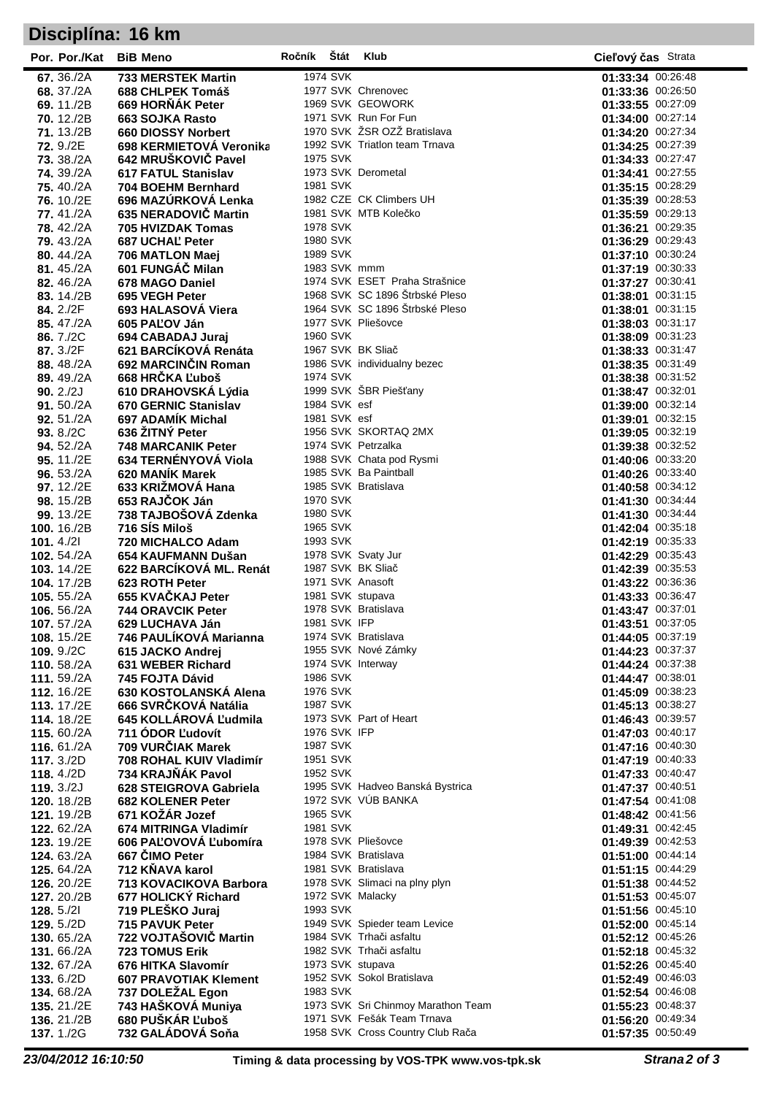## **Disciplína: 16 km**

| Por. Por./Kat BiB Meno                   |                                                  | Ročník Štát |                                 | Klub                                                | Cieľový čas Strata                     |
|------------------------------------------|--------------------------------------------------|-------------|---------------------------------|-----------------------------------------------------|----------------------------------------|
| 67, 36./2A                               | <b>733 MERSTEK Martin</b>                        |             | 1974 SVK                        |                                                     | 01:33:34 00:26:48                      |
| 68.37./2A                                | 688 CHLPEK Tomáš                                 |             |                                 | 1977 SVK Chrenovec                                  | 01:33:36 00:26:50                      |
| 69.11./2B                                | 669 HORŇÁK Peter                                 |             |                                 | 1969 SVK GEOWORK                                    | 01:33:55 00:27:09                      |
| <b>70.</b> 12./2B                        | 663 SOJKA Rasto<br>660 DIOSSY Norbert            |             |                                 | 1971 SVK Run For Fun<br>1970 SVK ŽSR OZŽ Bratislava | 01:34:00 00:27:14<br>01:34:20 00:27:34 |
| 71.13./2B<br><b>72.</b> 9./2E            | 698 KERMIETOVÁ Veronika                          |             |                                 | 1992 SVK Triatlon team Trnava                       | 01:34:25 00:27:39                      |
| 73. 38./2A                               | 642 MRUŠKOVIČ Pavel                              |             | 1975 SVK                        |                                                     | 01:34:33 00:27:47                      |
| <b>74.</b> 39./2A                        | 617 FATUL Stanislav                              |             |                                 | 1973 SVK Derometal                                  | 01:34:41 00:27:55                      |
| <b>75.</b> 40./2A                        | 704 BOEHM Bernhard                               |             | 1981 SVK                        |                                                     | 01:35:15 00:28:29                      |
| 76.10./2E                                | 696 MAZÚRKOVÁ Lenka                              |             |                                 | 1982 CZE CK Climbers UH                             | 01:35:39 00:28:53                      |
| 77.41./2A                                | 635 NERADOVIČ Martin                             |             |                                 | 1981 SVK MTB Kolečko                                | 01:35:59 00:29:13                      |
| <b>78.</b> 42./2A                        | 705 HVIZDAK Tomas                                |             | 1978 SVK                        |                                                     | 01:36:21 00:29:35                      |
| <b>79.</b> 43./2A                        | 687 UCHAL' Peter                                 |             | 1980 SVK                        |                                                     | 01:36:29 00:29:43                      |
| 80.44./2A                                | 706 MATLON Maej<br>601 FUNGÁČ Milan              |             | 1989 SVK                        | 1983 SVK mmm                                        | 01:37:10 00:30:24<br>01:37:19 00:30:33 |
| 81.45./2A<br>82.46./2A                   | 678 MAGO Daniel                                  |             |                                 | 1974 SVK ESET Praha Strašnice                       | 01:37:27 00:30:41                      |
| 83.14./2B                                | 695 VEGH Peter                                   |             |                                 | 1968 SVK SC 1896 Štrbské Pleso                      | 01:38:01 00:31:15                      |
| 84.2./2F                                 | 693 HALASOVÁ Viera                               |             |                                 | 1964 SVK SC 1896 Štrbské Pleso                      | 01:38:01 00:31:15                      |
| 85.47./2A                                | 605 PAĽOV Ján                                    |             |                                 | 1977 SVK Pliešovce                                  | 01:38:03 00:31:17                      |
| 86.7./2C                                 | 694 CABADAJ Juraj                                |             | 1960 SVK                        |                                                     | 01:38:09 00:31:23                      |
| 87.3./2F                                 | 621 BARCÍKOVÁ Renáta                             |             |                                 | 1967 SVK BK Sliač                                   | 01:38:33 00:31:47                      |
| 88.48./2A                                | 692 MARCINČIN Roman                              |             |                                 | 1986 SVK individualny bezec                         | 01:38:35 00:31:49                      |
| 89.49./2A                                | 668 HRČKA Ľuboš<br>610 DRAHOVSKÁ Lýdia           |             | 1974 SVK                        | 1999 SVK ŠBR Piešťany                               | 01:38:38 00:31:52<br>01:38:47 00:32:01 |
| 90.2/2J<br>91.50./2A                     | 670 GERNIC Stanislav                             |             | 1984 SVK esf                    |                                                     | 01:39:00 00:32:14                      |
| 92.51./2A                                | 697 ADAMÍK Michal                                |             | 1981 SVK esf                    |                                                     | 01:39:01 00:32:15                      |
| 93. 8./2C                                | 636 ŽITNÝ Peter                                  |             |                                 | 1956 SVK SKORTAQ 2MX                                | 01:39:05 00:32:19                      |
| 94.52./2A                                | <b>748 MARCANIK Peter</b>                        |             |                                 | 1974 SVK Petrzalka                                  | 01:39:38 00:32:52                      |
| 95.11./2E                                | 634 TERNÉNYOVÁ Viola                             |             |                                 | 1988 SVK Chata pod Rysmi                            | 01:40:06 00:33:20                      |
| 96.53./2A                                | 620 MANIK Marek                                  |             |                                 | 1985 SVK Ba Paintball                               | 01:40:26 00:33:40                      |
| 97.12./2E                                | 633 KRIŽMOVÁ Hana                                |             |                                 | 1985 SVK Bratislava                                 | 01:40:58 00:34:12                      |
| 98. 15./2B                               | 653 RAJČOK Ján                                   |             | 1970 SVK<br>1980 SVK            |                                                     | 01:41:30 00:34:44<br>01:41:30 00:34:44 |
| 99.13./2E<br>100. 16./2B                 | 738 TAJBOŠOVÁ Zdenka<br>716 SÍS Miloš            |             | 1965 SVK                        |                                                     | 01:42:04 00:35:18                      |
| 101.4/21                                 | 720 MICHALCO Adam                                |             | 1993 SVK                        |                                                     | 01:42:19 00:35:33                      |
| 102. 54./2A                              | 654 KAUFMANN Dušan                               |             |                                 | 1978 SVK Svaty Jur                                  | 01:42:29 00:35:43                      |
| 103. 14./2E                              | 622 BARCÍKOVÁ ML. Renát                          |             |                                 | 1987 SVK BK Sliač                                   | 01:42:39 00:35:53                      |
| 104. 17./2B                              | 623 ROTH Peter                                   |             |                                 | 1971 SVK Anasoft                                    | 01:43:22 00:36:36                      |
| <b>105.</b> 55./2A                       | 655 KVAČKAJ Peter                                |             |                                 | 1981 SVK stupava                                    | 01:43:33 00:36:47                      |
| 106. 56./2A                              | <b>744 ORAVCIK Peter</b>                         |             |                                 | 1978 SVK Bratislava                                 | 01:43:47 00:37:01                      |
| 107.57./2A                               | 629 LUCHAVA Ján<br>746 PAULÍKOVÁ Marianna        |             | 1981 SVK IFP                    | 1974 SVK Bratislava                                 | 01:43:51 00:37:05<br>01:44:05 00:37:19 |
| <b>108.</b> 15./2E<br>109.9./2C          | 615 JACKO Andrej                                 |             |                                 | 1955 SVK Nové Zámky                                 | 01:44:23 00:37:37                      |
| 110. 58./2A                              | 631 WEBER Richard                                |             |                                 | 1974 SVK Interway                                   | 01:44:24 00:37:38                      |
| 111, 59./2A                              | 745 FOJTA Dávid                                  |             | 1986 SVK                        |                                                     | 01:44:47 00:38:01                      |
| 112. 16./2E                              | 630 KOSTOLANSKÁ Alena                            |             | 1976 SVK                        |                                                     | 01:45:09 00:38:23                      |
| 113. 17./2E                              | 666 SVRČKOVÁ Natália                             |             | 1987 SVK                        |                                                     | 01:45:13 00:38:27                      |
| 114.18./2E                               | 645 KOLLÁROVÁ Ľudmila                            |             |                                 | 1973 SVK Part of Heart                              | 01:46:43 00:39:57                      |
| 115, 60./2A                              | 711 ÓDOR Ludovít<br>709 VURČIAK Marek            |             | <b>1976 SVK IFP</b><br>1987 SVK |                                                     | 01:47:03 00:40:17<br>01:47:16 00:40:30 |
| 116. 61./2A<br>117.3./2D                 | 708 ROHAL KUIV Vladimír                          |             | 1951 SVK                        |                                                     | 01:47:19 00:40:33                      |
| 118.4./2D                                | 734 KRAJŇÁK Pavol                                |             | 1952 SVK                        |                                                     | 01:47:33 00:40:47                      |
| 119. $3./2J$                             | 628 STEIGROVA Gabriela                           |             |                                 | 1995 SVK Hadveo Banská Bystrica                     | 01:47:37 00:40:51                      |
| <b>120.</b> 18./2B                       | <b>682 KOLENER Peter</b>                         |             |                                 | 1972 SVK VÚB BANKA                                  | 01:47:54 00:41:08                      |
| 121, 19./2B                              | 671 KOŽÁR Jozef                                  |             | 1965 SVK                        |                                                     | 01:48:42 00:41:56                      |
| 122. 62./2A                              | 674 MITRINGA Vladimír                            |             | 1981 SVK                        |                                                     | 01:49:31 00:42:45                      |
| 123. 19./2E                              | 606 PAĽOVOVÁ Ľubomíra                            |             |                                 | 1978 SVK Pliešovce                                  | 01:49:39 00:42:53                      |
| <b>124. 63./2A</b><br><b>125.</b> 64./2A | 667 ČIMO Peter<br>712 KŇAVA karol                |             |                                 | 1984 SVK Bratislava<br>1981 SVK Bratislava          | 01:51:00 00:44:14<br>01:51:15 00:44:29 |
| 126. 20./2E                              | 713 KOVACIKOVA Barbora                           |             |                                 | 1978 SVK Slimaci na plny plyn                       | 01:51:38 00:44:52                      |
| 127, 20./2B                              | 677 HOLICKÝ Richard                              |             |                                 | 1972 SVK Malacky                                    | 01:51:53 00:45:07                      |
| 128.5/21                                 | 719 PLEŠKO Juraj                                 |             | 1993 SVK                        |                                                     | 01:51:56 00:45:10                      |
| 129. 5./2D                               | <b>715 PAVUK Peter</b>                           |             |                                 | 1949 SVK Spieder team Levice                        | 01:52:00 00:45:14                      |
| <b>130.</b> 65./2A                       | 722 VOJTAŠOVIČ Martin                            |             |                                 | 1984 SVK Trhači asfaltu                             | 01:52:12 00:45:26                      |
| <b>131.</b> 66./2A                       | <b>723 TOMUS Erik</b>                            |             |                                 | 1982 SVK Trhači asfaltu                             | 01:52:18 00:45:32                      |
| <b>132. 67./2A</b>                       | 676 HITKA Slavomír                               |             |                                 | 1973 SVK stupava<br>1952 SVK Sokol Bratislava       | 01:52:26 00:45:40<br>01:52:49 00:46:03 |
| <b>133.</b> 6./2D<br><b>134.</b> 68./2A  | <b>607 PRAVOTIAK Klement</b><br>737 DOLEŽAL Egon |             | 1983 SVK                        |                                                     | 01:52:54 00:46:08                      |
| 135.21./2E                               | 743 HAŠKOVÁ Muniya                               |             |                                 | 1973 SVK Sri Chinmoy Marathon Team                  | 01:55:23 00:48:37                      |
| 136.21./2B                               | 680 PUŠKÁR Ľuboš                                 |             |                                 | 1971 SVK Fešák Team Trnava                          | 01:56:20 00:49:34                      |
| <b>137.</b> 1./2G                        | 732 GALÁDOVÁ Soňa                                |             |                                 | 1958 SVK Cross Country Club Rača                    | 01:57:35 00:50:49                      |